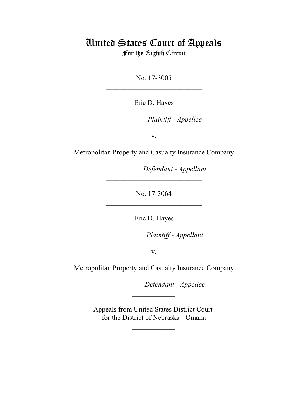# United States Court of Appeals For the Eighth Circuit

\_\_\_\_\_\_\_\_\_\_\_\_\_\_\_\_\_\_\_\_\_\_\_\_\_\_\_

No. 17-3005  $\mathcal{L}_\text{max}$  , which is a set of the set of the set of the set of the set of the set of the set of the set of the set of the set of the set of the set of the set of the set of the set of the set of the set of the set of

Eric D. Hayes

*Plaintiff - Appellee* 

v.

Metropolitan Property and Casualty Insurance Company

Defendant - Appellant

No. 17-3064  $\mathcal{L}_\text{max}$  , which is a set of the set of the set of the set of the set of the set of the set of the set of the set of the set of the set of the set of the set of the set of the set of the set of the set of the set of

 $\mathcal{L}_\text{max}$  , which is a set of the set of the set of the set of the set of the set of the set of the set of the set of the set of the set of the set of the set of the set of the set of the set of the set of the set of

Eric D. Hayes

lllllllllllllllllllll*Plaintiff - Appellant*

v.

Metropolitan Property and Casualty Insurance Company

Defendant - Appellee

Appeals from United States District Court for the District of Nebraska - Omaha

 $\frac{1}{2}$ 

 $\frac{1}{2}$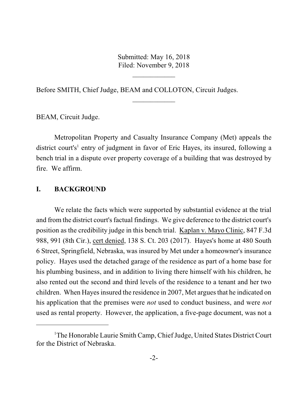Submitted: May 16, 2018 Filed: November 9, 2018

 $\overline{\phantom{a}}$  , where  $\overline{\phantom{a}}$ 

 $\frac{1}{2}$ 

Before SMITH, Chief Judge, BEAM and COLLOTON, Circuit Judges.

BEAM, Circuit Judge.

Metropolitan Property and Casualty Insurance Company (Met) appeals the district court's<sup>1</sup> entry of judgment in favor of Eric Hayes, its insured, following a bench trial in a dispute over property coverage of a building that was destroyed by fire. We affirm.

## **I. BACKGROUND**

We relate the facts which were supported by substantial evidence at the trial and from the district court's factual findings. We give deference to the district court's position as the credibility judge in this bench trial. Kaplan v. Mayo Clinic, 847 F.3d 988, 991 (8th Cir.), cert denied, 138 S. Ct. 203 (2017). Hayes's home at 480 South 6 Street, Springfield, Nebraska, was insured by Met under a homeowner's insurance policy. Hayes used the detached garage of the residence as part of a home base for his plumbing business, and in addition to living there himself with his children, he also rented out the second and third levels of the residence to a tenant and her two children. When Hayes insured the residence in 2007, Met argues that he indicated on his application that the premises were *not* used to conduct business, and were *not* used as rental property. However, the application, a five-page document, was not a

<sup>&</sup>lt;sup>1</sup>The Honorable Laurie Smith Camp, Chief Judge, United States District Court for the District of Nebraska.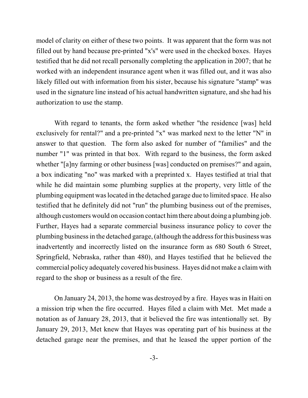model of clarity on either of these two points. It was apparent that the form was not filled out by hand because pre-printed "x's" were used in the checked boxes. Hayes testified that he did not recall personally completing the application in 2007; that he worked with an independent insurance agent when it was filled out, and it was also likely filled out with information from his sister, because his signature "stamp" was used in the signature line instead of his actual handwritten signature, and she had his authorization to use the stamp.

With regard to tenants, the form asked whether "the residence [was] held exclusively for rental?" and a pre-printed "x" was marked next to the letter "N" in answer to that question. The form also asked for number of "families" and the number "1" was printed in that box. With regard to the business, the form asked whether "[a]ny farming or other business [was] conducted on premises?" and again, a box indicating "no" was marked with a preprinted x. Hayes testified at trial that while he did maintain some plumbing supplies at the property, very little of the plumbing equipment waslocated in the detached garage due to limited space. He also testified that he definitely did not "run" the plumbing business out of the premises, although customers would on occasion contact himthere about doing a plumbing job. Further, Hayes had a separate commercial business insurance policy to cover the plumbing businessin the detached garage, (although the address for this business was inadvertently and incorrectly listed on the insurance form as *6*80 South 6 Street, Springfield, Nebraska, rather than 480), and Hayes testified that he believed the commercial policy adequately covered his business. Hayes did not make a claimwith regard to the shop or business as a result of the fire.

On January 24, 2013, the home was destroyed by a fire. Hayes was in Haiti on a mission trip when the fire occurred. Hayes filed a claim with Met. Met made a notation as of January 28, 2013, that it believed the fire was intentionally set. By January 29, 2013, Met knew that Hayes was operating part of his business at the detached garage near the premises, and that he leased the upper portion of the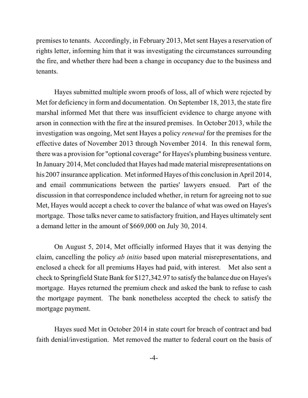premises to tenants. Accordingly, in February 2013, Met sent Hayes a reservation of rights letter, informing him that it was investigating the circumstances surrounding the fire, and whether there had been a change in occupancy due to the business and tenants.

Hayes submitted multiple sworn proofs of loss, all of which were rejected by Met for deficiency in form and documentation. On September 18, 2013, the state fire marshal informed Met that there was insufficient evidence to charge anyone with arson in connection with the fire at the insured premises. In October 2013, while the investigation was ongoing, Met sent Hayes a policy *renewal* for the premises for the effective dates of November 2013 through November 2014. In this renewal form, there was a provision for "optional coverage" for Hayes's plumbing business venture. In January 2014, Met concluded that Hayes had made material misrepresentations on his 2007 insurance application. Met informed Hayes ofthis conclusion in April 2014, and email communications between the parties' lawyers ensued. Part of the discussion in that correspondence included whether, in return for agreeing not to sue Met, Hayes would accept a check to cover the balance of what was owed on Hayes's mortgage. Those talks never came to satisfactory fruition, and Hayes ultimately sent a demand letter in the amount of \$669,000 on July 30, 2014.

On August 5, 2014, Met officially informed Hayes that it was denying the claim, cancelling the policy *ab initio* based upon material misrepresentations, and enclosed a check for all premiums Hayes had paid, with interest. Met also sent a check to Springfield State Bank for \$127,342.97 to satisfy the balance due on Hayes's mortgage. Hayes returned the premium check and asked the bank to refuse to cash the mortgage payment. The bank nonetheless accepted the check to satisfy the mortgage payment.

Hayes sued Met in October 2014 in state court for breach of contract and bad faith denial/investigation. Met removed the matter to federal court on the basis of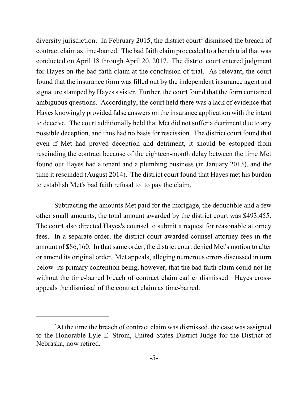diversity jurisdiction. In February 2015, the district court<sup>2</sup> dismissed the breach of contract claim astime-barred. The bad faith claim proceeded to a bench trial that was conducted on April 18 through April 20, 2017. The district court entered judgment for Hayes on the bad faith claim at the conclusion of trial. As relevant, the court found that the insurance form was filled out by the independent insurance agent and signature stamped by Hayes's sister. Further, the court found that the form contained ambiguous questions. Accordingly, the court held there was a lack of evidence that Hayes knowingly provided false answers on the insurance application with the intent to deceive. The court additionally held that Met did not suffer a detriment due to any possible deception, and thus had no basis for rescission. The district court found that even if Met had proved deception and detriment, it should be estopped from rescinding the contract because of the eighteen-month delay between the time Met found out Hayes had a tenant and a plumbing business (in January 2013), and the time it rescinded (August 2014). The district court found that Hayes met his burden to establish Met's bad faith refusal to to pay the claim.

Subtracting the amounts Met paid for the mortgage, the deductible and a few other small amounts, the total amount awarded by the district court was \$493,455. The court also directed Hayes's counsel to submit a request for reasonable attorney fees. In a separate order, the district court awarded counsel attorney fees in the amount of \$86,160. In that same order, the district court denied Met's motion to alter or amend its original order. Met appeals, alleging numerous errors discussed in turn below–its primary contention being, however, that the bad faith claim could not lie without the time-barred breach of contract claim earlier dismissed. Hayes crossappeals the dismissal of the contract claim as time-barred.

<sup>&</sup>lt;sup>2</sup>At the time the breach of contract claim was dismissed, the case was assigned to the Honorable Lyle E. Strom, United States District Judge for the District of Nebraska, now retired.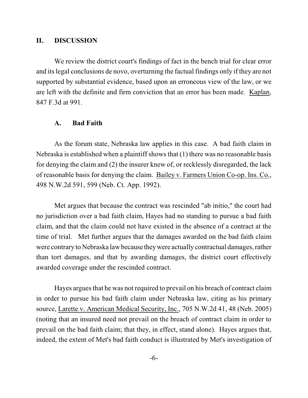#### **II. DISCUSSION**

We review the district court's findings of fact in the bench trial for clear error and its legal conclusions de novo, overturning the factual findings only if they are not supported by substantial evidence, based upon an erroneous view of the law, or we are left with the definite and firm conviction that an error has been made. Kaplan, 847 F.3d at 991.

#### **A. Bad Faith**

As the forum state, Nebraska law applies in this case. A bad faith claim in Nebraska is established when a plaintiff shows that (1) there was no reasonable basis for denying the claim and (2) the insurer knew of, or recklessly disregarded, the lack of reasonable basis for denying the claim. Bailey v. Farmers Union Co-op. Ins. Co., 498 N.W.2d 591, 599 (Neb. Ct. App. 1992).

Met argues that because the contract was rescinded "ab initio," the court had no jurisdiction over a bad faith claim, Hayes had no standing to pursue a bad faith claim, and that the claim could not have existed in the absence of a contract at the time of trial. Met further argues that the damages awarded on the bad faith claim were contrary to Nebraska lawbecause theywere actually contractual damages, rather than tort damages, and that by awarding damages, the district court effectively awarded coverage under the rescinded contract.

Hayes argues that he was not required to prevail on his breach of contract claim in order to pursue his bad faith claim under Nebraska law, citing as his primary source, Larette v. American Medical Security, Inc., 705 N.W.2d 41, 48 (Neb. 2005) (noting that an insured need not prevail on the breach of contract claim in order to prevail on the bad faith claim; that they, in effect, stand alone). Hayes argues that, indeed, the extent of Met's bad faith conduct is illustrated by Met's investigation of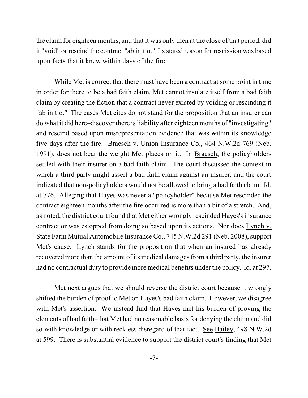the claim for eighteen months, and that it was only then at the close of that period, did it "void" or rescind the contract "ab initio." Its stated reason for rescission was based upon facts that it knew within days of the fire.

While Met is correct that there must have been a contract at some point in time in order for there to be a bad faith claim, Met cannot insulate itself from a bad faith claim by creating the fiction that a contract never existed by voiding or rescinding it "ab initio." The cases Met cites do not stand for the proposition that an insurer can do what it did here–discover there isliability after eighteen months of "investigating" and rescind based upon misrepresentation evidence that was within its knowledge five days after the fire. Braesch v. Union Insurance Co., 464 N.W.2d 769 (Neb. 1991), does not bear the weight Met places on it. In Braesch, the policyholders settled with their insurer on a bad faith claim. The court discussed the context in which a third party might assert a bad faith claim against an insurer, and the court indicated that non-policyholders would not be allowed to bring a bad faith claim. Id. at 776. Alleging that Hayes was never a "policyholder" because Met rescinded the contract eighteen months after the fire occurred is more than a bit of a stretch. And, as noted, the district court found that Met either wrongly rescinded Hayes's insurance contract or was estopped from doing so based upon its actions. Nor does Lynch v. State Farm Mutual Automobile Insurance Co., 745 N.W.2d 291 (Neb. 2008), support Met's cause. Lynch stands for the proposition that when an insured has already recovered more than the amount of its medical damages from a third party, the insurer had no contractual duty to provide more medical benefits under the policy. Id. at 297.

Met next argues that we should reverse the district court because it wrongly shifted the burden of proof to Met on Hayes's bad faith claim. However, we disagree with Met's assertion. We instead find that Hayes met his burden of proving the elements of bad faith–that Met had no reasonable basis for denying the claim and did so with knowledge or with reckless disregard of that fact. See Bailey, 498 N.W.2d at 599. There is substantial evidence to support the district court's finding that Met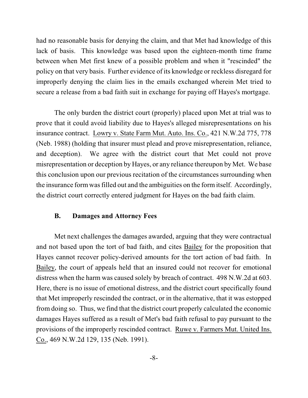had no reasonable basis for denying the claim, and that Met had knowledge of this lack of basis. This knowledge was based upon the eighteen-month time frame between when Met first knew of a possible problem and when it "rescinded" the policy on that very basis. Further evidence of its knowledge or reckless disregard for improperly denying the claim lies in the emails exchanged wherein Met tried to secure a release from a bad faith suit in exchange for paying off Hayes's mortgage.

The only burden the district court (properly) placed upon Met at trial was to prove that it could avoid liability due to Hayes's alleged misrepresentations on his insurance contract. Lowry v. State Farm Mut. Auto. Ins. Co., 421 N.W.2d 775, 778 (Neb. 1988) (holding that insurer must plead and prove misrepresentation, reliance, and deception). We agree with the district court that Met could not prove misrepresentation or deception by Hayes, or any reliance thereupon by Met. We base this conclusion upon our previous recitation of the circumstances surrounding when the insurance form was filled out and the ambiguities on the form itself. Accordingly, the district court correctly entered judgment for Hayes on the bad faith claim.

# **B. Damages and Attorney Fees**

Met next challenges the damages awarded, arguing that they were contractual and not based upon the tort of bad faith, and cites Bailey for the proposition that Hayes cannot recover policy-derived amounts for the tort action of bad faith. In Bailey, the court of appeals held that an insured could not recover for emotional distress when the harm was caused solely by breach of contract. 498 N.W.2d at 603. Here, there is no issue of emotional distress, and the district court specifically found that Met improperly rescinded the contract, or in the alternative, that it was estopped from doing so. Thus, we find that the district court properly calculated the economic damages Hayes suffered as a result of Met's bad faith refusal to pay pursuant to the provisions of the improperly rescinded contract. Ruwe v. Farmers Mut. United Ins. Co., 469 N.W.2d 129, 135 (Neb. 1991).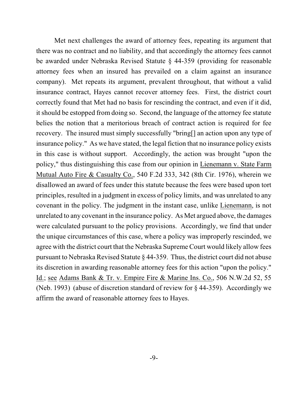Met next challenges the award of attorney fees, repeating its argument that there was no contract and no liability, and that accordingly the attorney fees cannot be awarded under Nebraska Revised Statute § 44-359 (providing for reasonable attorney fees when an insured has prevailed on a claim against an insurance company). Met repeats its argument, prevalent throughout, that without a valid insurance contract, Hayes cannot recover attorney fees. First, the district court correctly found that Met had no basis for rescinding the contract, and even if it did, it should be estopped from doing so. Second, the language of the attorney fee statute belies the notion that a meritorious breach of contract action is required for fee recovery. The insured must simply successfully "bring[] an action upon any type of insurance policy." As we have stated, the legal fiction that no insurance policy exists in this case is without support. Accordingly, the action was brought "upon the policy," thus distinguishing this case from our opinion in Lienemann v. State Farm Mutual Auto Fire & Casualty Co., 540 F.2d 333, 342 (8th Cir. 1976), wherein we disallowed an award of fees under this statute because the fees were based upon tort principles, resulted in a judgment in excess of policy limits, and was unrelated to any covenant in the policy. The judgment in the instant case, unlike Lienemann, is not unrelated to any covenant in the insurance policy. As Met argued above, the damages were calculated pursuant to the policy provisions. Accordingly, we find that under the unique circumstances of this case, where a policy was improperly rescinded, we agree with the district court that the Nebraska Supreme Court would likely allow fees pursuant to Nebraska Revised Statute § 44-359. Thus, the district court did not abuse its discretion in awarding reasonable attorney fees for this action "upon the policy." Id.; see Adams Bank & Tr. v. Empire Fire & Marine Ins. Co., 506 N.W.2d 52, 55 (Neb. 1993) (abuse of discretion standard of review for § 44-359). Accordingly we affirm the award of reasonable attorney fees to Hayes.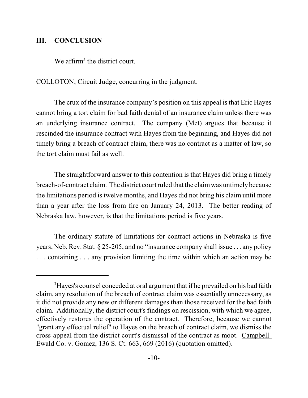## **III. CONCLUSION**

We affirm<sup>3</sup> the district court.

COLLOTON, Circuit Judge, concurring in the judgment.

The crux of the insurance company's position on this appeal is that Eric Hayes cannot bring a tort claim for bad faith denial of an insurance claim unless there was an underlying insurance contract. The company (Met) argues that because it rescinded the insurance contract with Hayes from the beginning, and Hayes did not timely bring a breach of contract claim, there was no contract as a matter of law, so the tort claim must fail as well.

The straightforward answer to this contention is that Hayes did bring a timely breach-of-contract claim. The district court ruled that the claimwas untimely because the limitations period is twelve months, and Hayes did not bring his claim until more than a year after the loss from fire on January 24, 2013. The better reading of Nebraska law, however, is that the limitations period is five years.

The ordinary statute of limitations for contract actions in Nebraska is five years, Neb. Rev. Stat. § 25-205, and no "insurance company shall issue . . . any policy . . . containing . . . any provision limiting the time within which an action may be

<sup>&</sup>lt;sup>3</sup>Hayes's counsel conceded at oral argument that if he prevailed on his bad faith claim, any resolution of the breach of contract claim was essentially unnecessary, as it did not provide any new or different damages than those received for the bad faith claim. Additionally, the district court's findings on rescission, with which we agree, effectively restores the operation of the contract. Therefore, because we cannot "grant any effectual relief" to Hayes on the breach of contract claim, we dismiss the cross-appeal from the district court's dismissal of the contract as moot. Campbell-Ewald Co. v. Gomez, 136 S. Ct. 663, 669 (2016) (quotation omitted).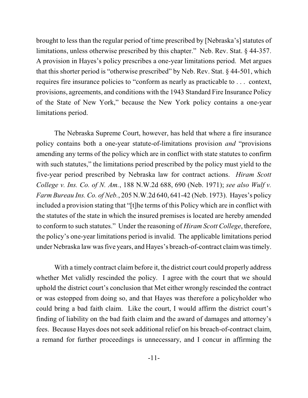brought to less than the regular period of time prescribed by [Nebraska's] statutes of limitations, unless otherwise prescribed by this chapter." Neb. Rev. Stat. § 44-357. A provision in Hayes's policy prescribes a one-year limitations period. Met argues that this shorter period is "otherwise prescribed" by Neb. Rev. Stat. § 44-501, which requires fire insurance policies to "conform as nearly as practicable to . . . context, provisions, agreements, and conditions with the 1943 Standard Fire Insurance Policy of the State of New York," because the New York policy contains a one-year limitations period.

The Nebraska Supreme Court, however, has held that where a fire insurance policy contains both a one-year statute-of-limitations provision *and* "provisions amending any terms of the policy which are in conflict with state statutes to confirm with such statutes," the limitations period prescribed by the policy must yield to the five-year period prescribed by Nebraska law for contract actions. *Hiram Scott College v. Ins. Co. of N. Am.*, 188 N.W.2d 688, 690 (Neb. 1971); *see also Wulf v. Farm Bureau Ins. Co. of Neb.*, 205 N.W.2d 640, 641-42 (Neb. 1973). Hayes's policy included a provision stating that "[t]he terms of this Policy which are in conflict with the statutes of the state in which the insured premises is located are hereby amended to conform to such statutes." Under the reasoning of *Hiram Scott College*, therefore, the policy's one-year limitations period is invalid. The applicable limitations period under Nebraska law was five years, and Hayes's breach-of-contract claim was timely.

With a timely contract claim before it, the district court could properly address whether Met validly rescinded the policy. I agree with the court that we should uphold the district court's conclusion that Met either wrongly rescinded the contract or was estopped from doing so, and that Hayes was therefore a policyholder who could bring a bad faith claim. Like the court, I would affirm the district court's finding of liability on the bad faith claim and the award of damages and attorney's fees. Because Hayes does not seek additional relief on his breach-of-contract claim, a remand for further proceedings is unnecessary, and I concur in affirming the